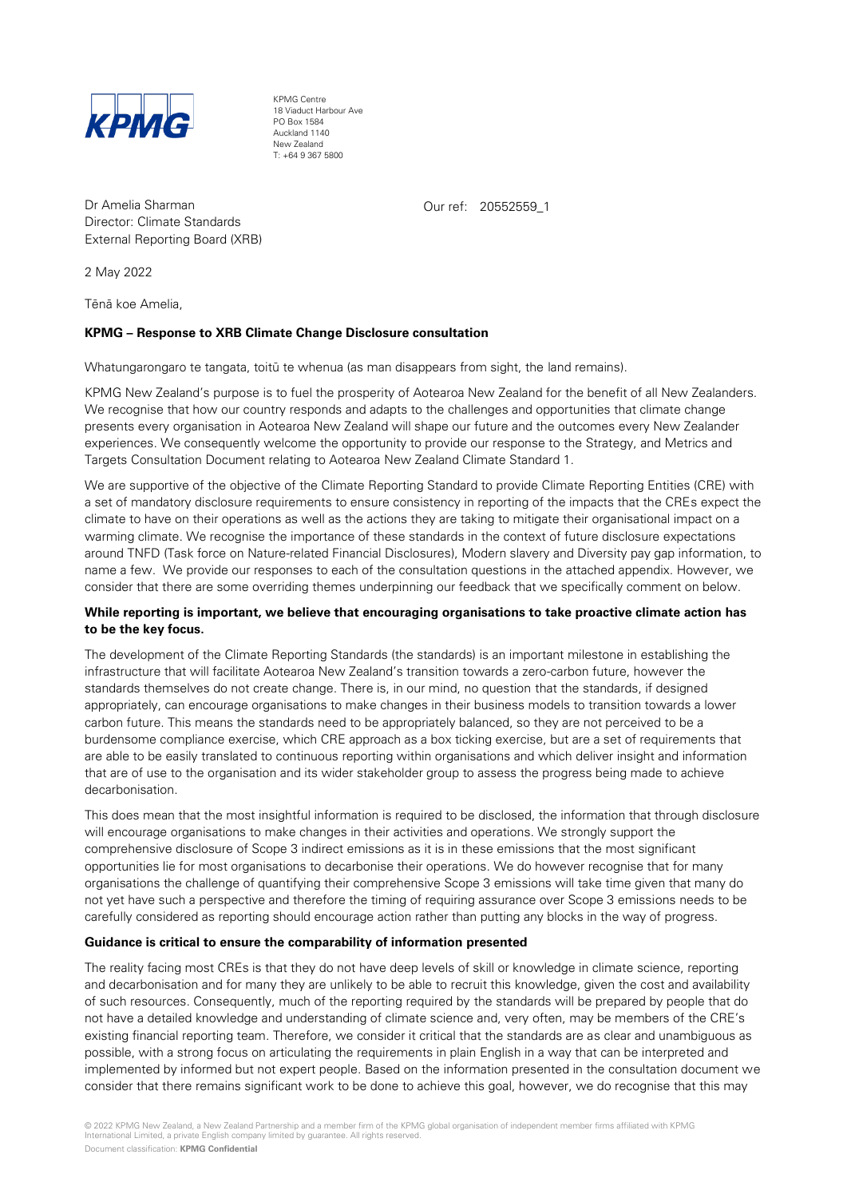

KPMG Centre 18 Viaduct Harbour Ave PO Box 1584 Auckland 1140 New Zealand T: +64 9 367 5800

Dr Amelia Sharman Director: Climate Standards External Reporting Board (XRB)

2 May 2022

Tēnā koe Amelia,

# **KPMG – Response to XRB Climate Change Disclosure consultation**

Whatungarongaro te tangata, toitū te whenua (as man disappears from sight, the land remains).

KPMG New Zealand's purpose is to fuel the prosperity of Aotearoa New Zealand for the benefit of all New Zealanders. We recognise that how our country responds and adapts to the challenges and opportunities that climate change presents every organisation in Aotearoa New Zealand will shape our future and the outcomes every New Zealander experiences. We consequently welcome the opportunity to provide our response to the Strategy, and Metrics and Targets Consultation Document relating to Aotearoa New Zealand Climate Standard 1.

Our ref: 20552559\_1

We are supportive of the objective of the Climate Reporting Standard to provide Climate Reporting Entities (CRE) with a set of mandatory disclosure requirements to ensure consistency in reporting of the impacts that the CREs expect the climate to have on their operations as well as the actions they are taking to mitigate their organisational impact on a warming climate. We recognise the importance of these standards in the context of future disclosure expectations around TNFD (Task force on Nature-related Financial Disclosures), Modern slavery and Diversity pay gap information, to name a few. We provide our responses to each of the consultation questions in the attached appendix. However, we consider that there are some overriding themes underpinning our feedback that we specifically comment on below.

# **While reporting is important, we believe that encouraging organisations to take proactive climate action has to be the key focus.**

The development of the Climate Reporting Standards (the standards) is an important milestone in establishing the infrastructure that will facilitate Aotearoa New Zealand's transition towards a zero-carbon future, however the standards themselves do not create change. There is, in our mind, no question that the standards, if designed appropriately, can encourage organisations to make changes in their business models to transition towards a lower carbon future. This means the standards need to be appropriately balanced, so they are not perceived to be a burdensome compliance exercise, which CRE approach as a box ticking exercise, but are a set of requirements that are able to be easily translated to continuous reporting within organisations and which deliver insight and information that are of use to the organisation and its wider stakeholder group to assess the progress being made to achieve decarbonisation.

This does mean that the most insightful information is required to be disclosed, the information that through disclosure will encourage organisations to make changes in their activities and operations. We strongly support the comprehensive disclosure of Scope 3 indirect emissions as it is in these emissions that the most significant opportunities lie for most organisations to decarbonise their operations. We do however recognise that for many organisations the challenge of quantifying their comprehensive Scope 3 emissions will take time given that many do not yet have such a perspective and therefore the timing of requiring assurance over Scope 3 emissions needs to be carefully considered as reporting should encourage action rather than putting any blocks in the way of progress.

# **Guidance is critical to ensure the comparability of information presented**

The reality facing most CREs is that they do not have deep levels of skill or knowledge in climate science, reporting and decarbonisation and for many they are unlikely to be able to recruit this knowledge, given the cost and availability of such resources. Consequently, much of the reporting required by the standards will be prepared by people that do not have a detailed knowledge and understanding of climate science and, very often, may be members of the CRE's existing financial reporting team. Therefore, we consider it critical that the standards are as clear and unambiguous as possible, with a strong focus on articulating the requirements in plain English in a way that can be interpreted and implemented by informed but not expert people. Based on the information presented in the consultation document we consider that there remains significant work to be done to achieve this goal, however, we do recognise that this may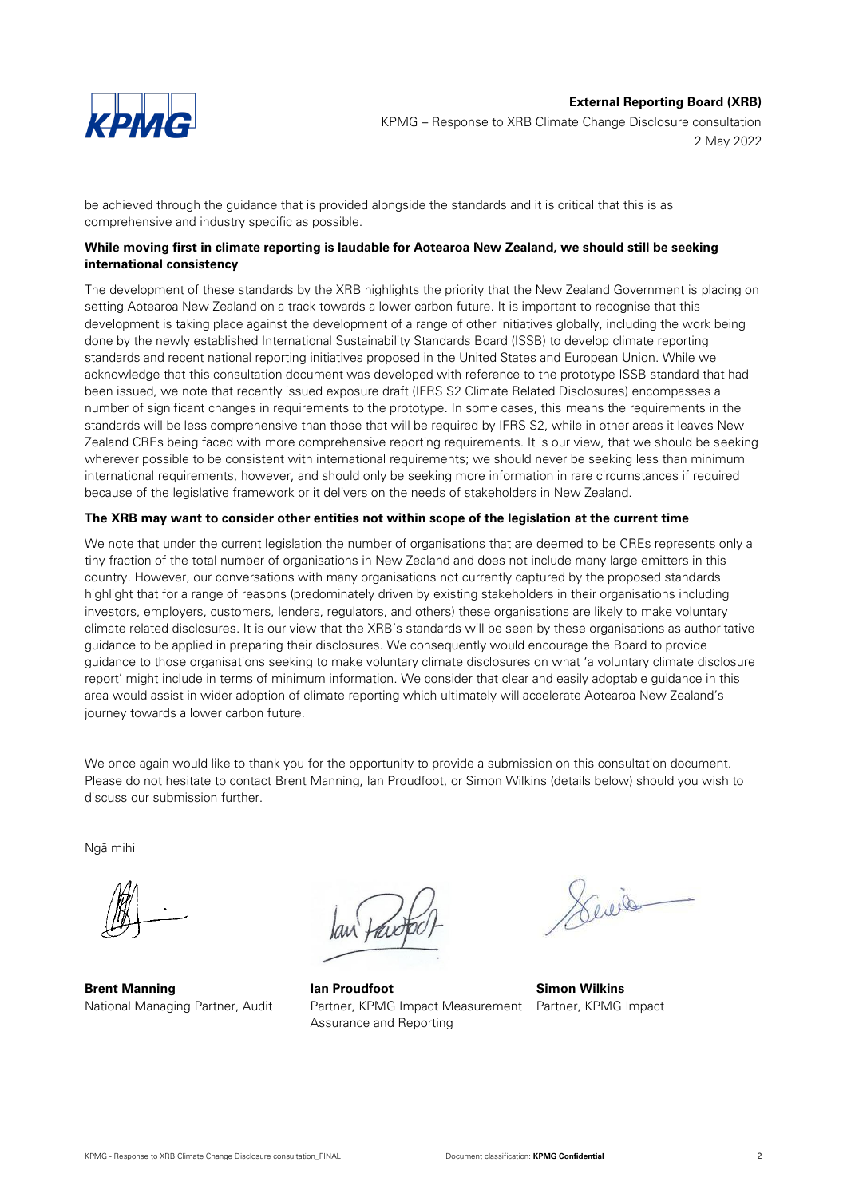

KPMG – Response to XRB Climate Change Disclosure consultation 2 May 2022

be achieved through the guidance that is provided alongside the standards and it is critical that this is as comprehensive and industry specific as possible.

# **While moving first in climate reporting is laudable for Aotearoa New Zealand, we should still be seeking international consistency**

The development of these standards by the XRB highlights the priority that the New Zealand Government is placing on setting Aotearoa New Zealand on a track towards a lower carbon future. It is important to recognise that this development is taking place against the development of a range of other initiatives globally, including the work being done by the newly established International Sustainability Standards Board (ISSB) to develop climate reporting standards and recent national reporting initiatives proposed in the United States and European Union. While we acknowledge that this consultation document was developed with reference to the prototype ISSB standard that had been issued, we note that recently issued exposure draft (IFRS S2 Climate Related Disclosures) encompasses a number of significant changes in requirements to the prototype. In some cases, this means the requirements in the standards will be less comprehensive than those that will be required by IFRS S2, while in other areas it leaves New Zealand CREs being faced with more comprehensive reporting requirements. It is our view, that we should be seeking wherever possible to be consistent with international requirements; we should never be seeking less than minimum international requirements, however, and should only be seeking more information in rare circumstances if required because of the legislative framework or it delivers on the needs of stakeholders in New Zealand.

# **The XRB may want to consider other entities not within scope of the legislation at the current time**

We note that under the current legislation the number of organisations that are deemed to be CREs represents only a tiny fraction of the total number of organisations in New Zealand and does not include many large emitters in this country. However, our conversations with many organisations not currently captured by the proposed standards highlight that for a range of reasons (predominately driven by existing stakeholders in their organisations including investors, employers, customers, lenders, regulators, and others) these organisations are likely to make voluntary climate related disclosures. It is our view that the XRB's standards will be seen by these organisations as authoritative guidance to be applied in preparing their disclosures. We consequently would encourage the Board to provide guidance to those organisations seeking to make voluntary climate disclosures on what 'a voluntary climate disclosure report' might include in terms of minimum information. We consider that clear and easily adoptable guidance in this area would assist in wider adoption of climate reporting which ultimately will accelerate Aotearoa New Zealand's journey towards a lower carbon future.

We once again would like to thank you for the opportunity to provide a submission on this consultation document. Please do not hesitate to contact Brent Manning, Ian Proudfoot, or Simon Wilkins (details below) should you wish to discuss our submission further.

Ngā mihi

**Brent Manning** National Managing Partner, Audit

**Ian Proudfoot** Partner, KPMG Impact Measurement Partner, KPMG ImpactAssurance and Reporting

Service

**Simon Wilkins**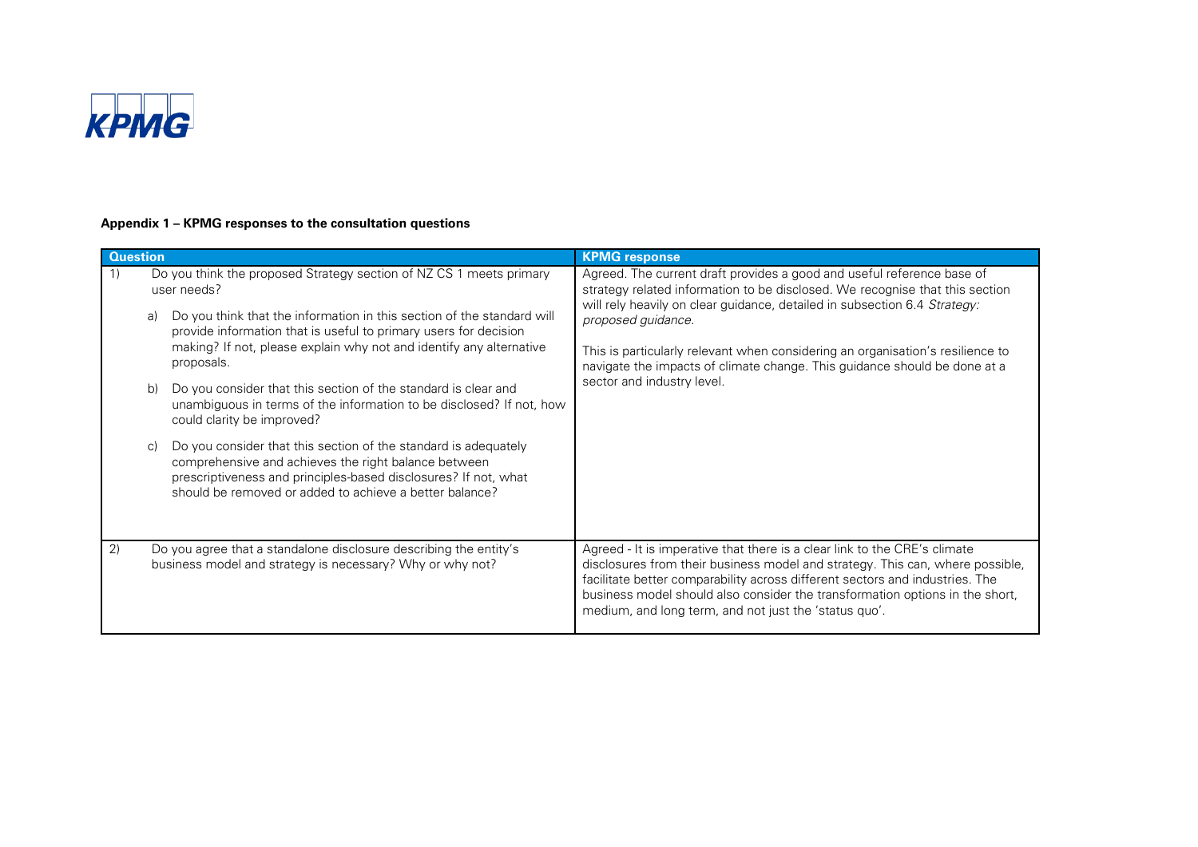

# **Appendix 1 – KPMG responses to the consultation questions**

| <b>Question</b> |                                                                                                                                                                                                                                                                                                                                                                                                                                                                                                                                                                                                                                                                                                                                                                                     | <b>KPMG response</b>                                                                                                                                                                                                                                                                                                                                                                                                                                   |
|-----------------|-------------------------------------------------------------------------------------------------------------------------------------------------------------------------------------------------------------------------------------------------------------------------------------------------------------------------------------------------------------------------------------------------------------------------------------------------------------------------------------------------------------------------------------------------------------------------------------------------------------------------------------------------------------------------------------------------------------------------------------------------------------------------------------|--------------------------------------------------------------------------------------------------------------------------------------------------------------------------------------------------------------------------------------------------------------------------------------------------------------------------------------------------------------------------------------------------------------------------------------------------------|
| 1)              | Do you think the proposed Strategy section of NZ CS 1 meets primary<br>user needs?<br>Do you think that the information in this section of the standard will<br>a)<br>provide information that is useful to primary users for decision<br>making? If not, please explain why not and identify any alternative<br>proposals.<br>Do you consider that this section of the standard is clear and<br>b)<br>unambiguous in terms of the information to be disclosed? If not, how<br>could clarity be improved?<br>Do you consider that this section of the standard is adequately<br>$\mathcal{C}$<br>comprehensive and achieves the right balance between<br>prescriptiveness and principles-based disclosures? If not, what<br>should be removed or added to achieve a better balance? | Agreed. The current draft provides a good and useful reference base of<br>strategy related information to be disclosed. We recognise that this section<br>will rely heavily on clear guidance, detailed in subsection 6.4 Strategy:<br>proposed guidance.<br>This is particularly relevant when considering an organisation's resilience to<br>navigate the impacts of climate change. This guidance should be done at a<br>sector and industry level. |
| 2)              | Do you agree that a standalone disclosure describing the entity's<br>business model and strategy is necessary? Why or why not?                                                                                                                                                                                                                                                                                                                                                                                                                                                                                                                                                                                                                                                      | Agreed - It is imperative that there is a clear link to the CRE's climate<br>disclosures from their business model and strategy. This can, where possible,<br>facilitate better comparability across different sectors and industries. The<br>business model should also consider the transformation options in the short,<br>medium, and long term, and not just the 'status quo'.                                                                    |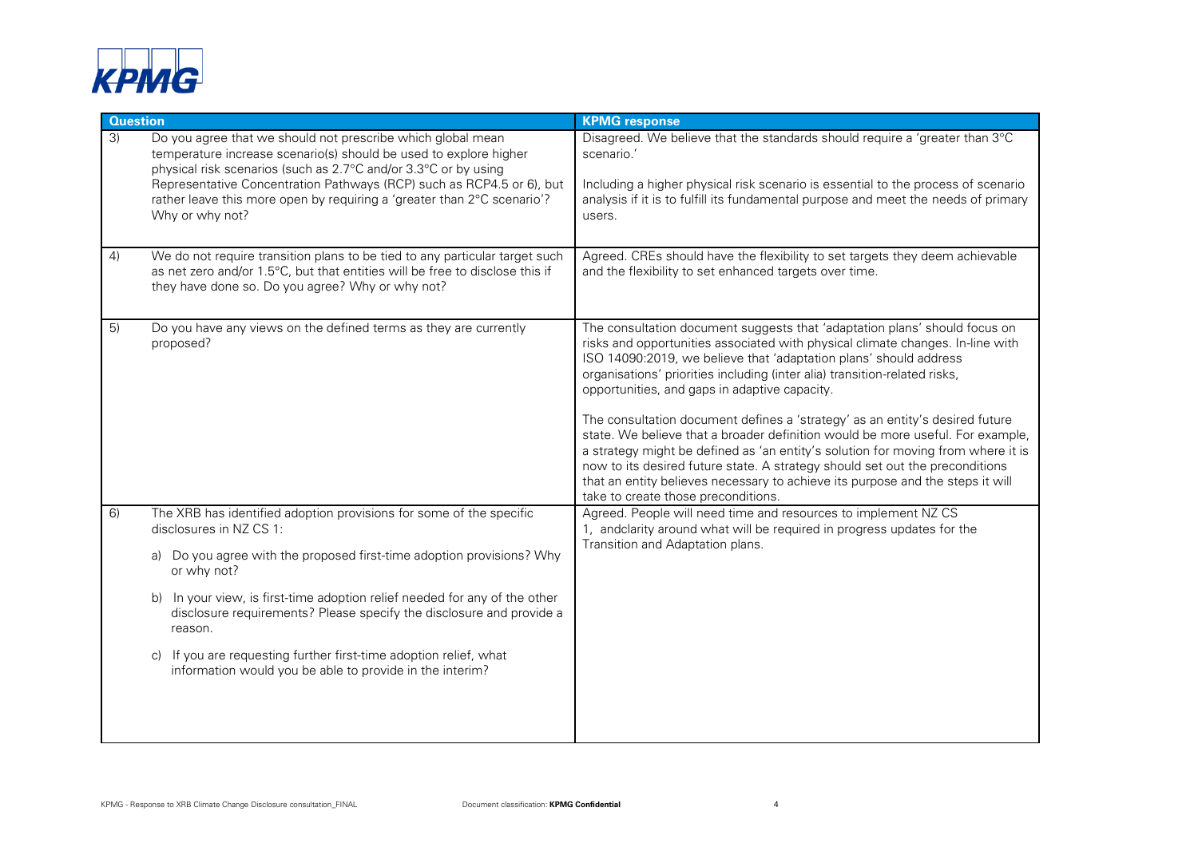

| <b>Question</b> |                                                                                                                                                                                                                                                                                                                                                                                                                                                                                             | <b>KPMG response</b>                                                                                                                                                                                                                                                                                                                                                                                                                                                                                                                                                                                                                                                                                                                                                                                                            |
|-----------------|---------------------------------------------------------------------------------------------------------------------------------------------------------------------------------------------------------------------------------------------------------------------------------------------------------------------------------------------------------------------------------------------------------------------------------------------------------------------------------------------|---------------------------------------------------------------------------------------------------------------------------------------------------------------------------------------------------------------------------------------------------------------------------------------------------------------------------------------------------------------------------------------------------------------------------------------------------------------------------------------------------------------------------------------------------------------------------------------------------------------------------------------------------------------------------------------------------------------------------------------------------------------------------------------------------------------------------------|
| 3)              | Do you agree that we should not prescribe which global mean<br>temperature increase scenario(s) should be used to explore higher<br>physical risk scenarios (such as 2.7°C and/or 3.3°C or by using<br>Representative Concentration Pathways (RCP) such as RCP4.5 or 6), but<br>rather leave this more open by requiring a 'greater than 2°C scenario'?<br>Why or why not?                                                                                                                  | Disagreed. We believe that the standards should require a 'greater than 3°C<br>scenario.'<br>Including a higher physical risk scenario is essential to the process of scenario<br>analysis if it is to fulfill its fundamental purpose and meet the needs of primary<br>users.                                                                                                                                                                                                                                                                                                                                                                                                                                                                                                                                                  |
| 4)              | We do not require transition plans to be tied to any particular target such<br>as net zero and/or 1.5°C, but that entities will be free to disclose this if<br>they have done so. Do you agree? Why or why not?                                                                                                                                                                                                                                                                             | Agreed. CREs should have the flexibility to set targets they deem achievable<br>and the flexibility to set enhanced targets over time.                                                                                                                                                                                                                                                                                                                                                                                                                                                                                                                                                                                                                                                                                          |
| 5)              | Do you have any views on the defined terms as they are currently<br>proposed?                                                                                                                                                                                                                                                                                                                                                                                                               | The consultation document suggests that 'adaptation plans' should focus on<br>risks and opportunities associated with physical climate changes. In-line with<br>ISO 14090:2019, we believe that 'adaptation plans' should address<br>organisations' priorities including (inter alia) transition-related risks,<br>opportunities, and gaps in adaptive capacity.<br>The consultation document defines a 'strategy' as an entity's desired future<br>state. We believe that a broader definition would be more useful. For example,<br>a strategy might be defined as 'an entity's solution for moving from where it is<br>now to its desired future state. A strategy should set out the preconditions<br>that an entity believes necessary to achieve its purpose and the steps it will<br>take to create those preconditions. |
| 6)              | The XRB has identified adoption provisions for some of the specific<br>disclosures in NZ CS 1:<br>Do you agree with the proposed first-time adoption provisions? Why<br>a)<br>or why not?<br>In your view, is first-time adoption relief needed for any of the other<br>disclosure requirements? Please specify the disclosure and provide a<br>reason.<br>If you are requesting further first-time adoption relief, what<br>C)<br>information would you be able to provide in the interim? | Agreed. People will need time and resources to implement NZ CS<br>1, andclarity around what will be required in progress updates for the<br>Transition and Adaptation plans.                                                                                                                                                                                                                                                                                                                                                                                                                                                                                                                                                                                                                                                    |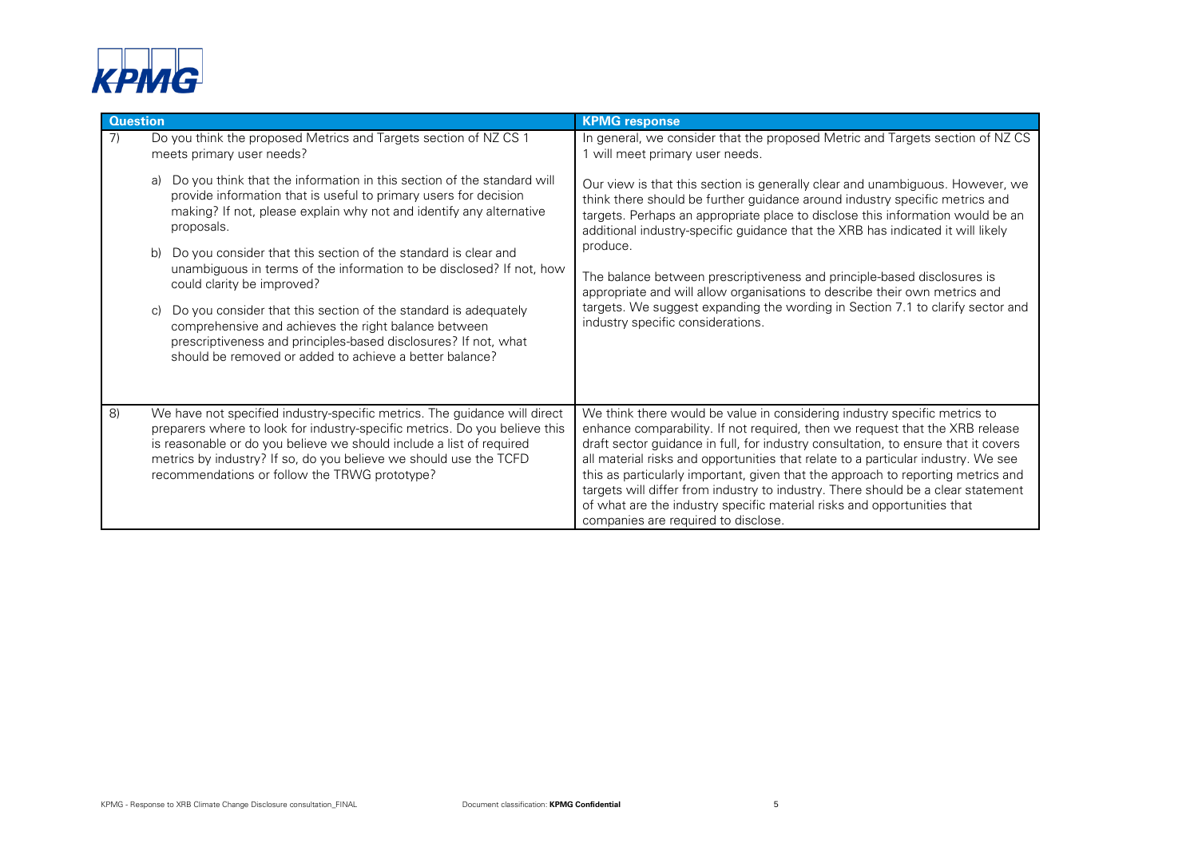

| <b>Question</b> |                                                                                                                                                                                                                                                                                                                                                       | <b>KPMG response</b>                                                                                                                                                                                                                                                                                                                                                                                                                                                                                                                                                                                                           |
|-----------------|-------------------------------------------------------------------------------------------------------------------------------------------------------------------------------------------------------------------------------------------------------------------------------------------------------------------------------------------------------|--------------------------------------------------------------------------------------------------------------------------------------------------------------------------------------------------------------------------------------------------------------------------------------------------------------------------------------------------------------------------------------------------------------------------------------------------------------------------------------------------------------------------------------------------------------------------------------------------------------------------------|
| 7)              | Do you think the proposed Metrics and Targets section of NZ CS 1<br>meets primary user needs?                                                                                                                                                                                                                                                         | In general, we consider that the proposed Metric and Targets section of NZCS<br>1 will meet primary user needs.                                                                                                                                                                                                                                                                                                                                                                                                                                                                                                                |
|                 | Do you think that the information in this section of the standard will<br>a)<br>provide information that is useful to primary users for decision<br>making? If not, please explain why not and identify any alternative<br>proposals.                                                                                                                 | Our view is that this section is generally clear and unambiguous. However, we<br>think there should be further guidance around industry specific metrics and<br>targets. Perhaps an appropriate place to disclose this information would be an<br>additional industry-specific guidance that the XRB has indicated it will likely<br>produce.<br>The balance between prescriptiveness and principle-based disclosures is<br>appropriate and will allow organisations to describe their own metrics and<br>targets. We suggest expanding the wording in Section 7.1 to clarify sector and<br>industry specific considerations.  |
|                 | Do you consider that this section of the standard is clear and<br>b)<br>unambiguous in terms of the information to be disclosed? If not, how<br>could clarity be improved?<br>Do you consider that this section of the standard is adequately                                                                                                         |                                                                                                                                                                                                                                                                                                                                                                                                                                                                                                                                                                                                                                |
|                 | comprehensive and achieves the right balance between<br>prescriptiveness and principles-based disclosures? If not, what<br>should be removed or added to achieve a better balance?                                                                                                                                                                    |                                                                                                                                                                                                                                                                                                                                                                                                                                                                                                                                                                                                                                |
| $\mathsf{8}$    | We have not specified industry-specific metrics. The guidance will direct<br>preparers where to look for industry-specific metrics. Do you believe this<br>is reasonable or do you believe we should include a list of required<br>metrics by industry? If so, do you believe we should use the TCFD<br>recommendations or follow the TRWG prototype? | We think there would be value in considering industry specific metrics to<br>enhance comparability. If not required, then we request that the XRB release<br>draft sector guidance in full, for industry consultation, to ensure that it covers<br>all material risks and opportunities that relate to a particular industry. We see<br>this as particularly important, given that the approach to reporting metrics and<br>targets will differ from industry to industry. There should be a clear statement<br>of what are the industry specific material risks and opportunities that<br>companies are required to disclose. |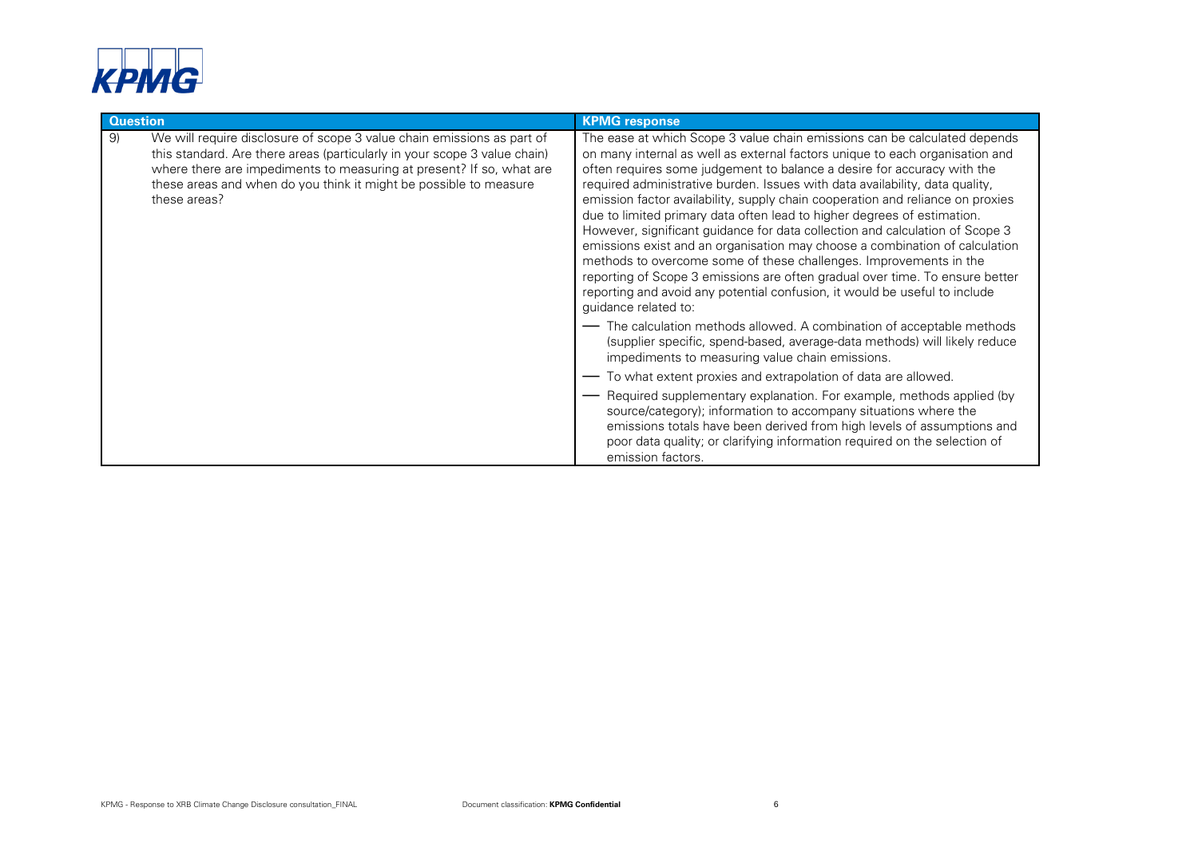

| <b>Question</b> |                                                                                                                                                                                                                                                                                                                  | <b>KPMG response</b>                                                                                                                                                                                                                                                                                                                                                                                                                                                                                                                                                                                                                                                                                                                                                                                                                                                                                        |
|-----------------|------------------------------------------------------------------------------------------------------------------------------------------------------------------------------------------------------------------------------------------------------------------------------------------------------------------|-------------------------------------------------------------------------------------------------------------------------------------------------------------------------------------------------------------------------------------------------------------------------------------------------------------------------------------------------------------------------------------------------------------------------------------------------------------------------------------------------------------------------------------------------------------------------------------------------------------------------------------------------------------------------------------------------------------------------------------------------------------------------------------------------------------------------------------------------------------------------------------------------------------|
| 9)              | We will require disclosure of scope 3 value chain emissions as part of<br>this standard. Are there areas (particularly in your scope 3 value chain)<br>where there are impediments to measuring at present? If so, what are<br>these areas and when do you think it might be possible to measure<br>these areas? | The ease at which Scope 3 value chain emissions can be calculated depends<br>on many internal as well as external factors unique to each organisation and<br>often requires some judgement to balance a desire for accuracy with the<br>required administrative burden. Issues with data availability, data quality,<br>emission factor availability, supply chain cooperation and reliance on proxies<br>due to limited primary data often lead to higher degrees of estimation.<br>However, significant guidance for data collection and calculation of Scope 3<br>emissions exist and an organisation may choose a combination of calculation<br>methods to overcome some of these challenges. Improvements in the<br>reporting of Scope 3 emissions are often gradual over time. To ensure better<br>reporting and avoid any potential confusion, it would be useful to include<br>quidance related to: |
|                 |                                                                                                                                                                                                                                                                                                                  | - The calculation methods allowed. A combination of acceptable methods<br>(supplier specific, spend-based, average-data methods) will likely reduce<br>impediments to measuring value chain emissions.<br>To what extent proxies and extrapolation of data are allowed.                                                                                                                                                                                                                                                                                                                                                                                                                                                                                                                                                                                                                                     |
|                 |                                                                                                                                                                                                                                                                                                                  | Required supplementary explanation. For example, methods applied (by<br>source/category); information to accompany situations where the<br>emissions totals have been derived from high levels of assumptions and<br>poor data quality; or clarifying information required on the selection of<br>emission factors.                                                                                                                                                                                                                                                                                                                                                                                                                                                                                                                                                                                         |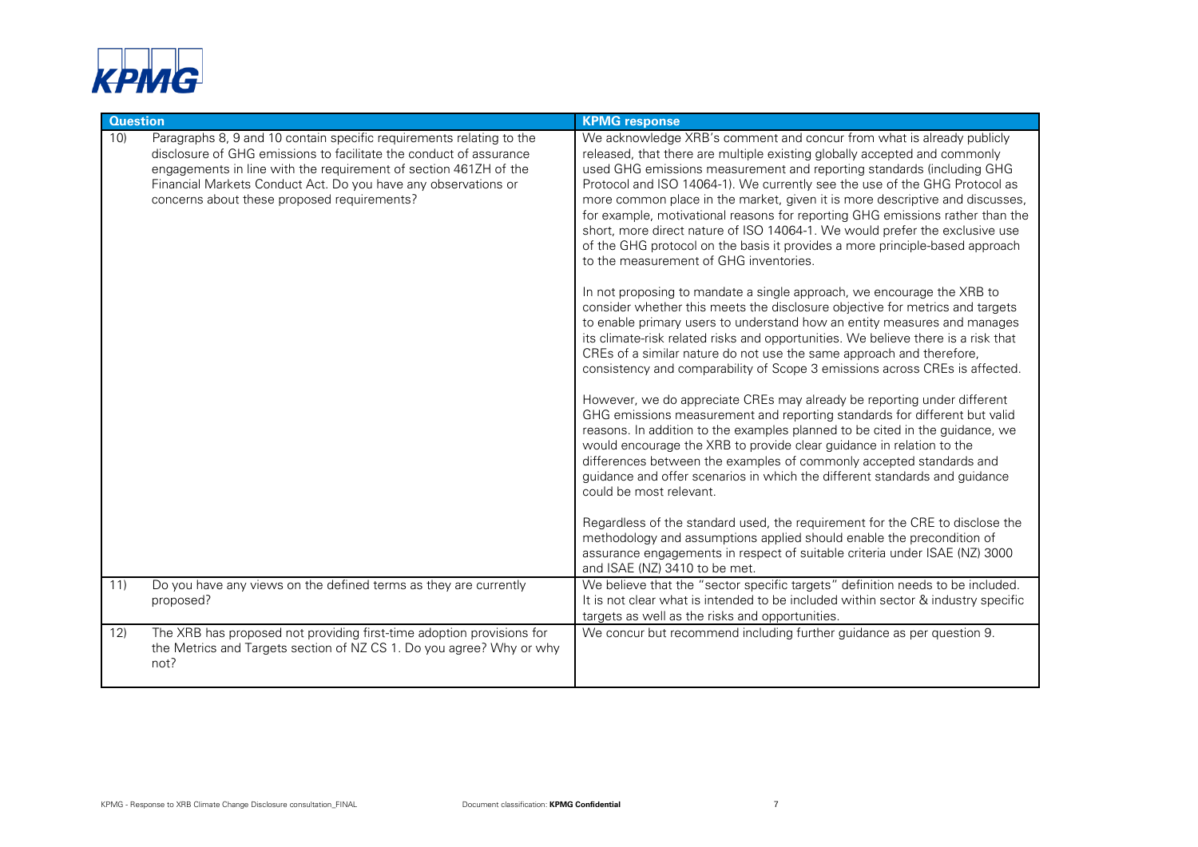

| <b>Question</b> |                                                                                                                                                                                                                                                                                                                                 | <b>KPMG response</b>                                                                                                                                                                                                                                                                                                                                                                                                                                                                                                                                                                                                                                                                                                                                                                                                                                                                                                                                                                                                                                                                                                                                                                                                                                                                                                                                                                                                                                                                                                                                                                                                                                                                                                                                                                                                                                                                                                                          |
|-----------------|---------------------------------------------------------------------------------------------------------------------------------------------------------------------------------------------------------------------------------------------------------------------------------------------------------------------------------|-----------------------------------------------------------------------------------------------------------------------------------------------------------------------------------------------------------------------------------------------------------------------------------------------------------------------------------------------------------------------------------------------------------------------------------------------------------------------------------------------------------------------------------------------------------------------------------------------------------------------------------------------------------------------------------------------------------------------------------------------------------------------------------------------------------------------------------------------------------------------------------------------------------------------------------------------------------------------------------------------------------------------------------------------------------------------------------------------------------------------------------------------------------------------------------------------------------------------------------------------------------------------------------------------------------------------------------------------------------------------------------------------------------------------------------------------------------------------------------------------------------------------------------------------------------------------------------------------------------------------------------------------------------------------------------------------------------------------------------------------------------------------------------------------------------------------------------------------------------------------------------------------------------------------------------------------|
| 10)             | Paragraphs 8, 9 and 10 contain specific requirements relating to the<br>disclosure of GHG emissions to facilitate the conduct of assurance<br>engagements in line with the requirement of section 461ZH of the<br>Financial Markets Conduct Act. Do you have any observations or<br>concerns about these proposed requirements? | We acknowledge XRB's comment and concur from what is already publicly<br>released, that there are multiple existing globally accepted and commonly<br>used GHG emissions measurement and reporting standards (including GHG<br>Protocol and ISO 14064-1). We currently see the use of the GHG Protocol as<br>more common place in the market, given it is more descriptive and discusses,<br>for example, motivational reasons for reporting GHG emissions rather than the<br>short, more direct nature of ISO 14064-1. We would prefer the exclusive use<br>of the GHG protocol on the basis it provides a more principle-based approach<br>to the measurement of GHG inventories.<br>In not proposing to mandate a single approach, we encourage the XRB to<br>consider whether this meets the disclosure objective for metrics and targets<br>to enable primary users to understand how an entity measures and manages<br>its climate-risk related risks and opportunities. We believe there is a risk that<br>CREs of a similar nature do not use the same approach and therefore,<br>consistency and comparability of Scope 3 emissions across CREs is affected.<br>However, we do appreciate CREs may already be reporting under different<br>GHG emissions measurement and reporting standards for different but valid<br>reasons. In addition to the examples planned to be cited in the guidance, we<br>would encourage the XRB to provide clear guidance in relation to the<br>differences between the examples of commonly accepted standards and<br>guidance and offer scenarios in which the different standards and guidance<br>could be most relevant.<br>Regardless of the standard used, the requirement for the CRE to disclose the<br>methodology and assumptions applied should enable the precondition of<br>assurance engagements in respect of suitable criteria under ISAE (NZ) 3000<br>and ISAE (NZ) 3410 to be met. |
| 11)             | Do you have any views on the defined terms as they are currently<br>proposed?                                                                                                                                                                                                                                                   | We believe that the "sector specific targets" definition needs to be included.<br>It is not clear what is intended to be included within sector & industry specific<br>targets as well as the risks and opportunities.                                                                                                                                                                                                                                                                                                                                                                                                                                                                                                                                                                                                                                                                                                                                                                                                                                                                                                                                                                                                                                                                                                                                                                                                                                                                                                                                                                                                                                                                                                                                                                                                                                                                                                                        |
| 12)             | The XRB has proposed not providing first-time adoption provisions for<br>the Metrics and Targets section of NZ CS 1. Do you agree? Why or why<br>not?                                                                                                                                                                           | We concur but recommend including further guidance as per question 9.                                                                                                                                                                                                                                                                                                                                                                                                                                                                                                                                                                                                                                                                                                                                                                                                                                                                                                                                                                                                                                                                                                                                                                                                                                                                                                                                                                                                                                                                                                                                                                                                                                                                                                                                                                                                                                                                         |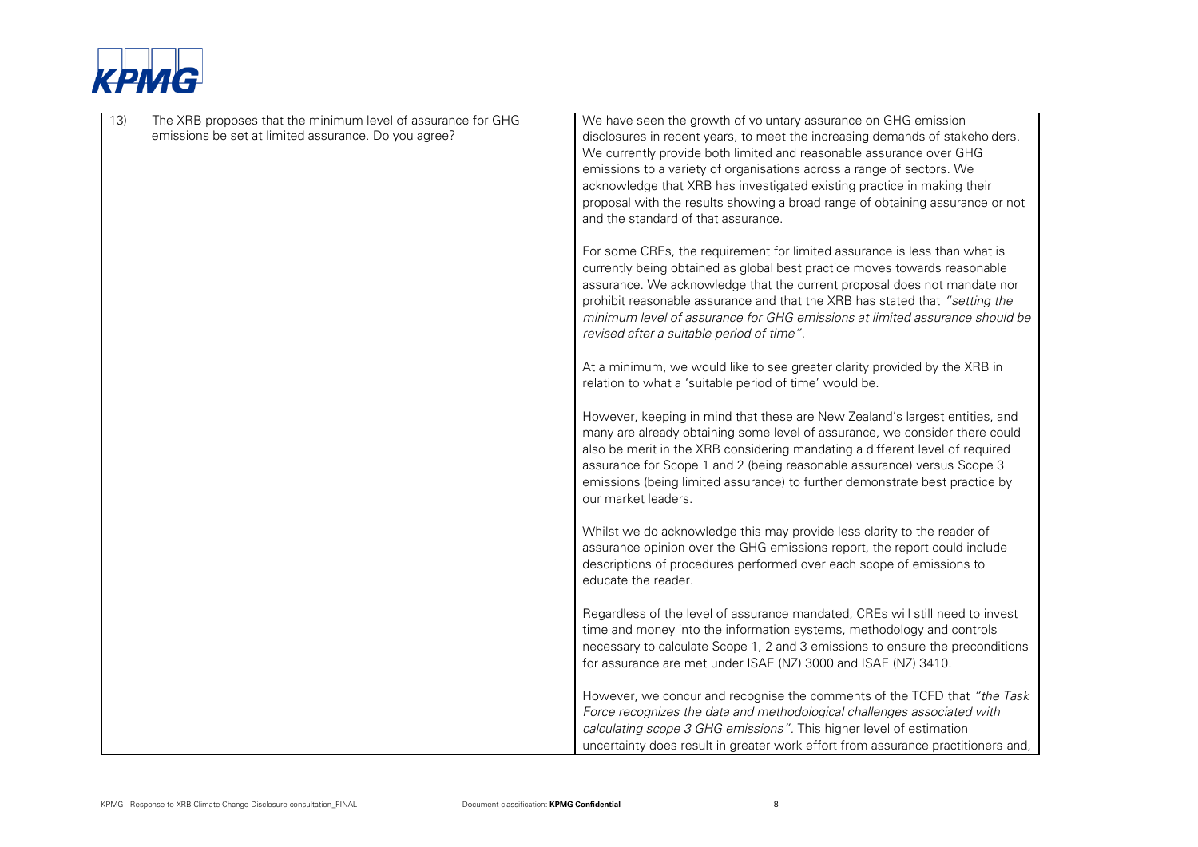

| 13) | The XRB proposes that the minimum level of assurance for GHG<br>emissions be set at limited assurance. Do you agree? | We have seen the growth of voluntary assurance on GHG emission<br>disclosures in recent years, to meet the increasing demands of stakeholders.<br>We currently provide both limited and reasonable assurance over GHG<br>emissions to a variety of organisations across a range of sectors. We<br>acknowledge that XRB has investigated existing practice in making their<br>proposal with the results showing a broad range of obtaining assurance or not<br>and the standard of that assurance. |
|-----|----------------------------------------------------------------------------------------------------------------------|---------------------------------------------------------------------------------------------------------------------------------------------------------------------------------------------------------------------------------------------------------------------------------------------------------------------------------------------------------------------------------------------------------------------------------------------------------------------------------------------------|
|     |                                                                                                                      | For some CREs, the requirement for limited assurance is less than what is<br>currently being obtained as global best practice moves towards reasonable<br>assurance. We acknowledge that the current proposal does not mandate nor<br>prohibit reasonable assurance and that the XRB has stated that "setting the<br>minimum level of assurance for GHG emissions at limited assurance should be<br>revised after a suitable period of time".                                                     |
|     |                                                                                                                      | At a minimum, we would like to see greater clarity provided by the XRB in<br>relation to what a 'suitable period of time' would be.                                                                                                                                                                                                                                                                                                                                                               |
|     |                                                                                                                      | However, keeping in mind that these are New Zealand's largest entities, and<br>many are already obtaining some level of assurance, we consider there could<br>also be merit in the XRB considering mandating a different level of required<br>assurance for Scope 1 and 2 (being reasonable assurance) versus Scope 3<br>emissions (being limited assurance) to further demonstrate best practice by<br>our market leaders.                                                                       |
|     |                                                                                                                      | Whilst we do acknowledge this may provide less clarity to the reader of<br>assurance opinion over the GHG emissions report, the report could include<br>descriptions of procedures performed over each scope of emissions to<br>educate the reader.                                                                                                                                                                                                                                               |
|     |                                                                                                                      | Regardless of the level of assurance mandated, CREs will still need to invest<br>time and money into the information systems, methodology and controls<br>necessary to calculate Scope 1, 2 and 3 emissions to ensure the preconditions<br>for assurance are met under ISAE (NZ) 3000 and ISAE (NZ) 3410.                                                                                                                                                                                         |
|     |                                                                                                                      | However, we concur and recognise the comments of the TCFD that "the Task<br>Force recognizes the data and methodological challenges associated with<br>calculating scope 3 GHG emissions". This higher level of estimation<br>uncertainty does result in greater work effort from assurance practitioners and,                                                                                                                                                                                    |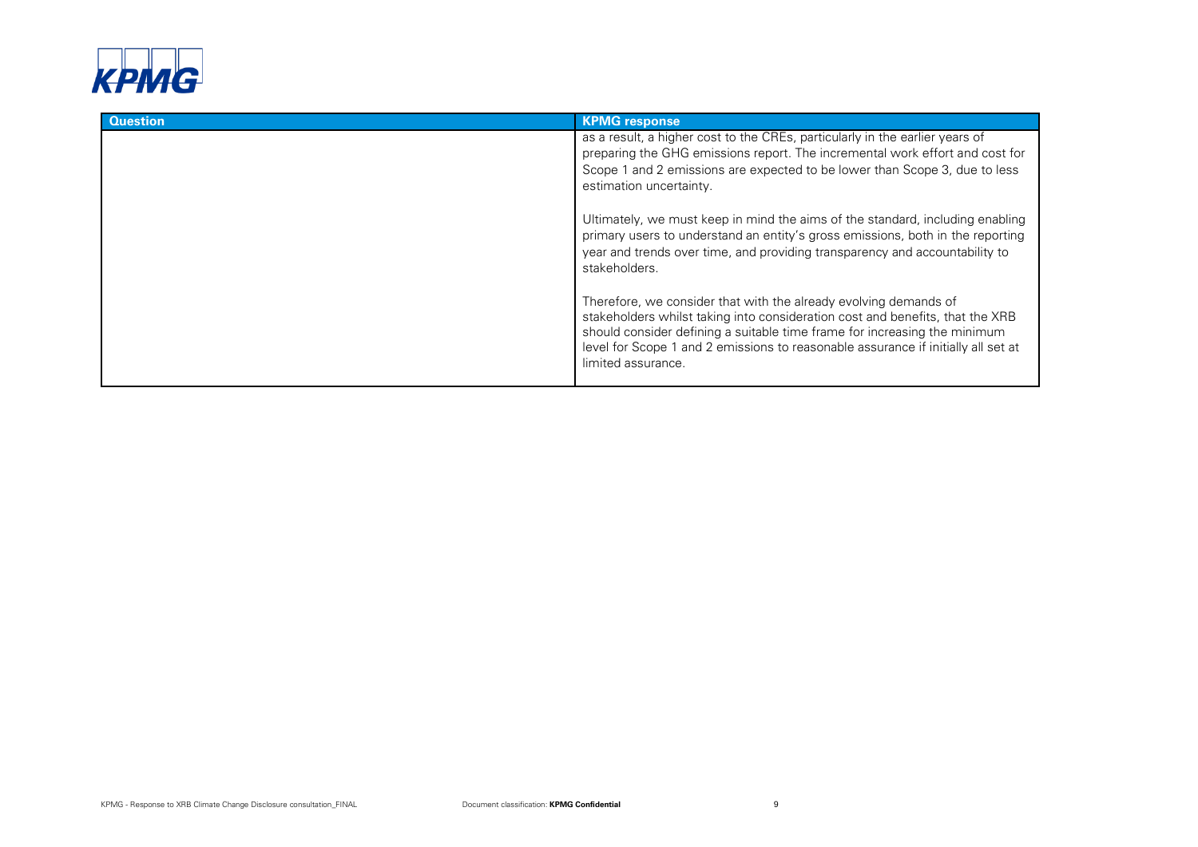

| <b>Question</b> | <b>KPMG response</b>                                                                                                                                                                                                                                                                                                                      |
|-----------------|-------------------------------------------------------------------------------------------------------------------------------------------------------------------------------------------------------------------------------------------------------------------------------------------------------------------------------------------|
|                 | as a result, a higher cost to the CREs, particularly in the earlier years of<br>preparing the GHG emissions report. The incremental work effort and cost for<br>Scope 1 and 2 emissions are expected to be lower than Scope 3, due to less<br>estimation uncertainty.                                                                     |
|                 | Ultimately, we must keep in mind the aims of the standard, including enabling<br>primary users to understand an entity's gross emissions, both in the reporting<br>year and trends over time, and providing transparency and accountability to<br>stakeholders.                                                                           |
|                 | Therefore, we consider that with the already evolving demands of<br>stakeholders whilst taking into consideration cost and benefits, that the XRB<br>should consider defining a suitable time frame for increasing the minimum<br>level for Scope 1 and 2 emissions to reasonable assurance if initially all set at<br>limited assurance. |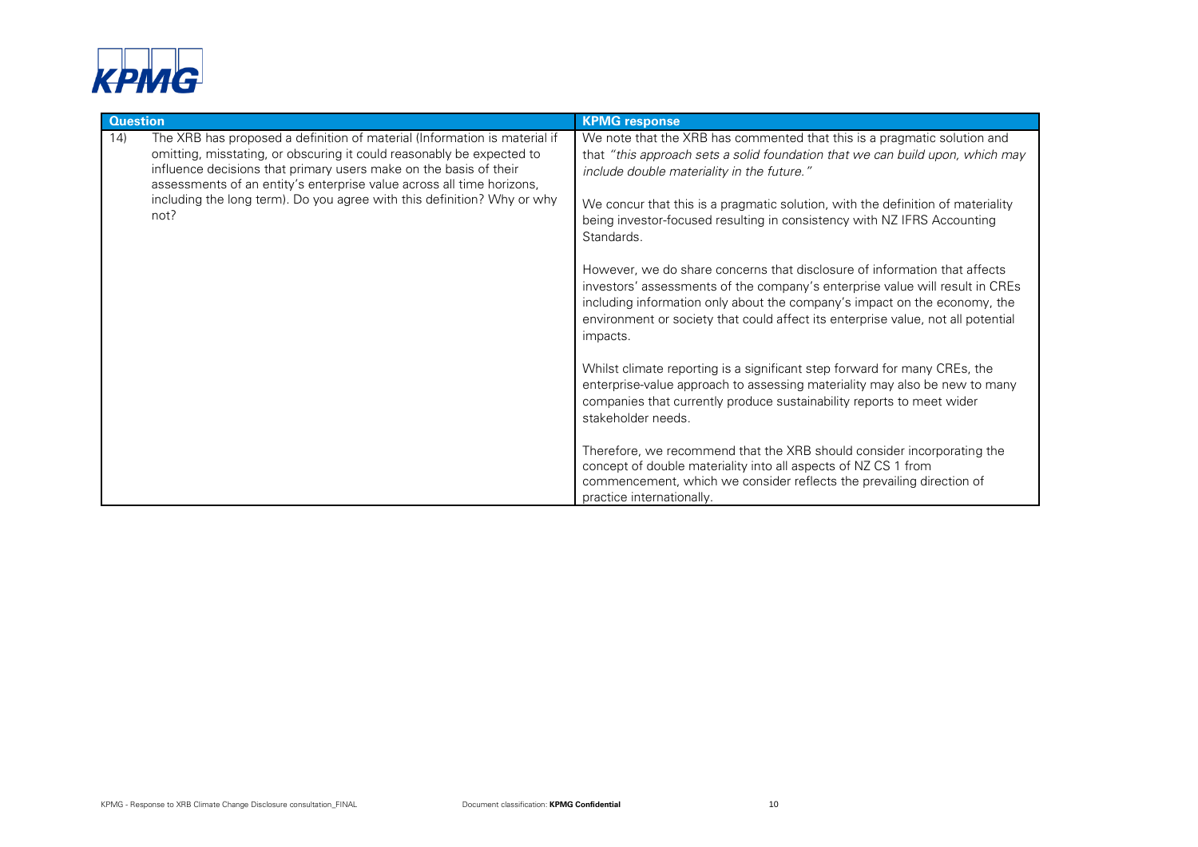

| <b>Question</b>                                                                                                                                                                                                                                                                                                                                                                            | <b>KPMG response</b>                                                                                                                                                                                                                                                                                                                                                                                                                                                                                                                                                                                                                                                                                                                                                                                                                                                                                                                                                                                                                                                                                                                                                                                        |
|--------------------------------------------------------------------------------------------------------------------------------------------------------------------------------------------------------------------------------------------------------------------------------------------------------------------------------------------------------------------------------------------|-------------------------------------------------------------------------------------------------------------------------------------------------------------------------------------------------------------------------------------------------------------------------------------------------------------------------------------------------------------------------------------------------------------------------------------------------------------------------------------------------------------------------------------------------------------------------------------------------------------------------------------------------------------------------------------------------------------------------------------------------------------------------------------------------------------------------------------------------------------------------------------------------------------------------------------------------------------------------------------------------------------------------------------------------------------------------------------------------------------------------------------------------------------------------------------------------------------|
| The XRB has proposed a definition of material (Information is material if<br>14)<br>omitting, misstating, or obscuring it could reasonably be expected to<br>influence decisions that primary users make on the basis of their<br>assessments of an entity's enterprise value across all time horizons,<br>including the long term). Do you agree with this definition? Why or why<br>not? | We note that the XRB has commented that this is a pragmatic solution and<br>that "this approach sets a solid foundation that we can build upon, which may<br>include double materiality in the future."<br>We concur that this is a pragmatic solution, with the definition of materiality<br>being investor-focused resulting in consistency with NZ IFRS Accounting<br>Standards.<br>However, we do share concerns that disclosure of information that affects<br>investors' assessments of the company's enterprise value will result in CREs<br>including information only about the company's impact on the economy, the<br>environment or society that could affect its enterprise value, not all potential<br>impacts.<br>Whilst climate reporting is a significant step forward for many CREs, the<br>enterprise-value approach to assessing materiality may also be new to many<br>companies that currently produce sustainability reports to meet wider<br>stakeholder needs.<br>Therefore, we recommend that the XRB should consider incorporating the<br>concept of double materiality into all aspects of NZ CS 1 from<br>commencement, which we consider reflects the prevailing direction of |
|                                                                                                                                                                                                                                                                                                                                                                                            | practice internationally.                                                                                                                                                                                                                                                                                                                                                                                                                                                                                                                                                                                                                                                                                                                                                                                                                                                                                                                                                                                                                                                                                                                                                                                   |